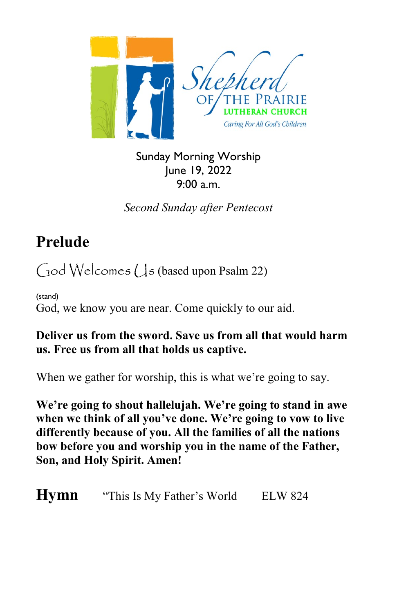

Sunday Morning Worship June 19, 2022 9:00 a.m.

*Second Sunday after Pentecost*

## **Prelude**

 $\bigcirc$  Od Welcomes ( $\bigcup$ s (based upon Psalm 22)

(stand) God, we know you are near. Come quickly to our aid.

#### **Deliver us from the sword. Save us from all that would harm us. Free us from all that holds us captive.**

When we gather for worship, this is what we're going to say.

**We're going to shout hallelujah. We're going to stand in awe when we think of all you've done. We're going to vow to live differently because of you. All the families of all the nations bow before you and worship you in the name of the Father, Son, and Holy Spirit. Amen!**

**Hymn** "This Is My Father's World ELW 824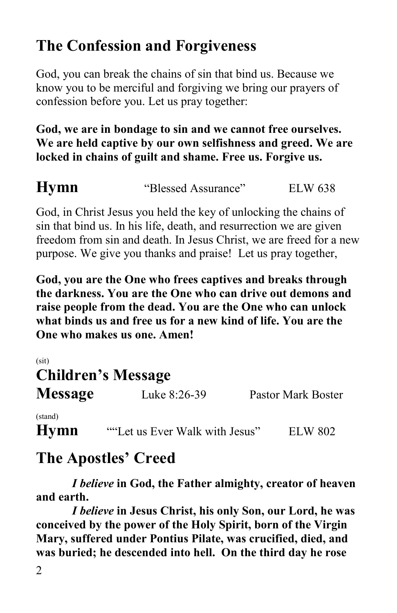## **The Confession and Forgiveness**

God, you can break the chains of sin that bind us. Because we know you to be merciful and forgiving we bring our prayers of confession before you. Let us pray together:

#### **God, we are in bondage to sin and we cannot free ourselves. We are held captive by our own selfishness and greed. We are locked in chains of guilt and shame. Free us. Forgive us.**

**Hymn** 
"Blessed Assurance" ELW 638

God, in Christ Jesus you held the key of unlocking the chains of sin that bind us. In his life, death, and resurrection we are given freedom from sin and death. In Jesus Christ, we are freed for a new purpose. We give you thanks and praise! Let us pray together,

**God, you are the One who frees captives and breaks through the darkness. You are the One who can drive out demons and raise people from the dead. You are the One who can unlock what binds us and free us for a new kind of life. You are the One who makes us one. Amen!**

| (sit)<br><b>Children's Message</b> |                                |                    |
|------------------------------------|--------------------------------|--------------------|
| <b>Message</b>                     | Luke 8:26-39                   | Pastor Mark Boster |
| (stand)                            |                                |                    |
| <b>Hymn</b>                        | ""Let us Ever Walk with Jesus" | <b>ELW 802</b>     |

## **The Apostles' Creed**

*I believe* **in God, the Father almighty, creator of heaven and earth.**

*I believe* **in Jesus Christ, his only Son, our Lord, he was conceived by the power of the Holy Spirit, born of the Virgin Mary, suffered under Pontius Pilate, was crucified, died, and was buried; he descended into hell. On the third day he rose**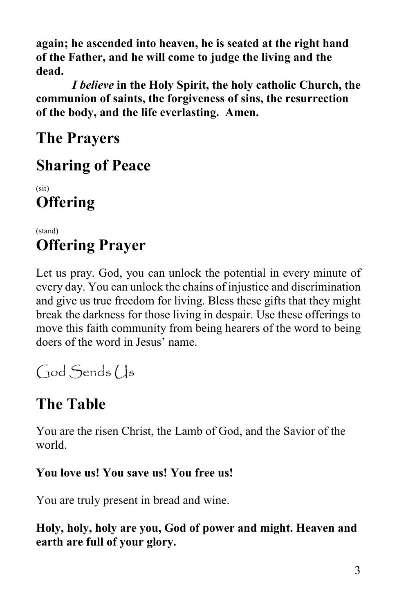**again; he ascended into heaven, he is seated at the right hand of the Father, and he will come to judge the living and the dead.**

*I believe* **in the Holy Spirit, the holy catholic Church, the communion of saints, the forgiveness of sins, the resurrection of the body, and the life everlasting. Amen.**

**The Prayers**

## **Sharing of Peace**

(sit) **Offering**

#### (stand) **Offering Prayer**

Let us pray. God, you can unlock the potential in every minute of every day. You can unlock the chains of injustice and discrimination and give us true freedom for living. Bless these gifts that they might break the darkness for those living in despair. Use these offerings to move this faith community from being hearers of the word to being doers of the word in Jesus' name.

God Sends Us

# **The Table**

You are the risen Christ, the Lamb of God, and the Savior of the world.

#### **You love us! You save us! You free us!**

You are truly present in bread and wine.

**Holy, holy, holy are you, God of power and might. Heaven and earth are full of your glory.**